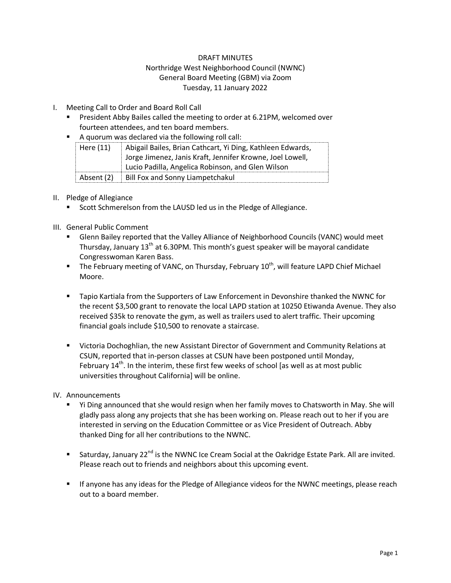### DRAFT MINUTES

# Northridge West Neighborhood Council (NWNC) General Board Meeting (GBM) via Zoom Tuesday, 11 January 2022

## I. Meeting Call to Order and Board Roll Call

- **President Abby Bailes called the meeting to order at 6.21PM, welcomed over** fourteen attendees, and ten board members.
- A quorum was declared via the following roll call:

| Here $(11)$                                               | Abigail Bailes, Brian Cathcart, Yi Ding, Kathleen Edwards, |  |  |
|-----------------------------------------------------------|------------------------------------------------------------|--|--|
| Jorge Jimenez, Janis Kraft, Jennifer Krowne, Joel Lowell, |                                                            |  |  |
|                                                           | Lucio Padilla, Angelica Robinson, and Glen Wilson          |  |  |
| Absent (2)                                                | Bill Fox and Sonny Liampetchakul                           |  |  |

### II. Pledge of Allegiance

Scott Schmerelson from the LAUSD led us in the Pledge of Allegiance.

# III. General Public Comment

- Glenn Bailey reported that the Valley Alliance of Neighborhood Councils (VANC) would meet Thursday, January 13<sup>th</sup> at 6.30PM. This month's guest speaker will be mayoral candidate Congresswoman Karen Bass.
- $\blacksquare$  The February meeting of VANC, on Thursday, February 10<sup>th</sup>, will feature LAPD Chief Michael Moore.
- **Tapio Kartiala from the Supporters of Law Enforcement in Devonshire thanked the NWNC for** the recent \$3,500 grant to renovate the local LAPD station at 10250 Etiwanda Avenue. They also received \$35k to renovate the gym, as well as trailers used to alert traffic. Their upcoming financial goals include \$10,500 to renovate a staircase.
- Victoria Dochoghlian, the new Assistant Director of Government and Community Relations at CSUN, reported that in-person classes at CSUN have been postponed until Monday, February  $14<sup>th</sup>$ . In the interim, these first few weeks of school [as well as at most public universities throughout California] will be online.

#### IV. Announcements

- Yi Ding announced that she would resign when her family moves to Chatsworth in May. She will gladly pass along any projects that she has been working on. Please reach out to her if you are interested in serving on the Education Committee or as Vice President of Outreach. Abby thanked Ding for all her contributions to the NWNC.
- Saturday, January 22<sup>nd</sup> is the NWNC Ice Cream Social at the Oakridge Estate Park. All are invited. Please reach out to friends and neighbors about this upcoming event.
- **If anyone has any ideas for the Pledge of Allegiance videos for the NWNC meetings, please reach** out to a board member.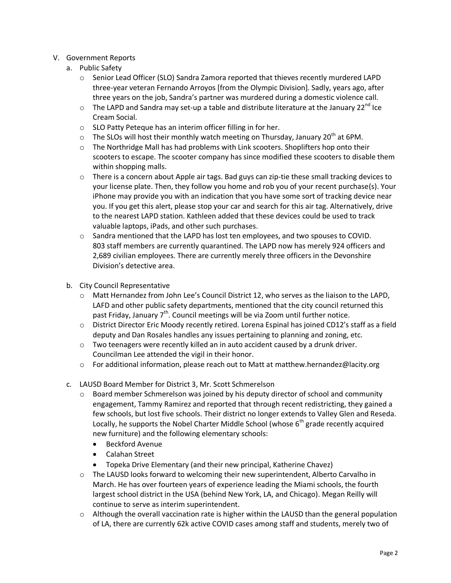### V. Government Reports

- a. Public Safety
	- o Senior Lead Officer (SLO) Sandra Zamora reported that thieves recently murdered LAPD three-year veteran Fernando Arroyos [from the Olympic Division]. Sadly, years ago, after three years on the job, Sandra's partner was murdered during a domestic violence call.
	- $\circ$  The LAPD and Sandra may set-up a table and distribute literature at the January 22<sup>nd</sup> Ice Cream Social.
	- o SLO Patty Peteque has an interim officer filling in for her.
	- $\circ$  The SLOs will host their monthly watch meeting on Thursday, January 20<sup>th</sup> at 6PM.
	- $\circ$  The Northridge Mall has had problems with Link scooters. Shoplifters hop onto their scooters to escape. The scooter company has since modified these scooters to disable them within shopping malls.
	- $\circ$  There is a concern about Apple air tags. Bad guys can zip-tie these small tracking devices to your license plate. Then, they follow you home and rob you of your recent purchase(s). Your iPhone may provide you with an indication that you have some sort of tracking device near you. If you get this alert, please stop your car and search for this air tag. Alternatively, drive to the nearest LAPD station. Kathleen added that these devices could be used to track valuable laptops, iPads, and other such purchases.
	- $\circ$  Sandra mentioned that the LAPD has lost ten employees, and two spouses to COVID. 803 staff members are currently quarantined. The LAPD now has merely 924 officers and 2,689 civilian employees. There are currently merely three officers in the Devonshire Division's detective area.
- b. City Council Representative
	- o Matt Hernandez from John Lee's Council District 12, who serves as the liaison to the LAPD, LAFD and other public safety departments, mentioned that the city council returned this past Friday, January  $7<sup>th</sup>$ . Council meetings will be via Zoom until further notice.
	- o District Director Eric Moody recently retired. Lorena Espinal has joined CD12's staff as a field deputy and Dan Rosales handles any issues pertaining to planning and zoning, etc.
	- $\circ$  Two teenagers were recently killed an in auto accident caused by a drunk driver. Councilman Lee attended the vigil in their honor.
	- o For additional information, please reach out to Matt at [matthew.hernandez@lacity.org](mailto:matthew.hernandez@lacity.org)
- c. LAUSD Board Member for District 3, Mr. Scott Schmerelson
	- $\circ$  Board member Schmerelson was joined by his deputy director of school and community engagement, Tammy Ramirez and reported that through recent redistricting, they gained a few schools, but lost five schools. Their district no longer extends to Valley Glen and Reseda. Locally, he supports the Nobel Charter Middle School (whose  $6<sup>th</sup>$  grade recently acquired new furniture) and the following elementary schools:
		- Beckford Avenue
		- Calahan Street
		- Topeka Drive Elementary (and their new principal, Katherine Chavez)
	- o The LAUSD looks forward to welcoming their new superintendent, Alberto Carvalho in March. He has over fourteen years of experience leading the Miami schools, the fourth largest school district in the USA (behind New York, LA, and Chicago). Megan Reilly will continue to serve as interim superintendent.
	- $\circ$  Although the overall vaccination rate is higher within the LAUSD than the general population of LA, there are currently 62k active COVID cases among staff and students, merely two of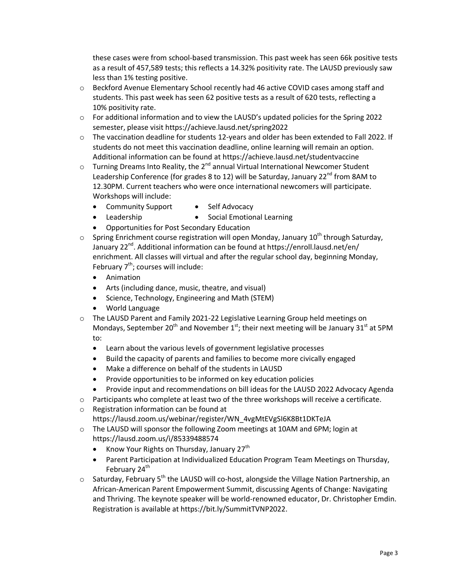these cases were from school-based transmission. This past week has seen 66k positive tests as a result of 457,589 tests; this reflects a 14.32% positivity rate. The LAUSD previously saw less than 1% testing positive.

- o Beckford Avenue Elementary School recently had 46 active COVID cases among staff and students. This past week has seen 62 positive tests as a result of 620 tests, reflecting a 10% positivity rate.
- o For additional information and to view the LAUSD's updated policies for the Spring 2022 semester, please visi[t https://achieve.lausd.net/spring2022](https://achieve.lausd.net/spring2022)
- o The vaccination deadline for students 12-years and older has been extended to Fall 2022. If students do not meet this vaccination deadline, online learning will remain an option. Additional information can be found at<https://achieve.lausd.net/studentvaccine>
- $\circ$  Turning Dreams Into Reality, the 2<sup>nd</sup> annual Virtual International Newcomer Student Leadership Conference (for grades 8 to 12) will be Saturday, January 22<sup>nd</sup> from 8AM to 12.30PM. Current teachers who were once international newcomers will participate. Workshops will include:
	- Community Support
- Self Advocacy
- Leadership • Social Emotional Learning
- Opportunities for Post Secondary Education
- $\circ$  Spring Enrichment course registration will open Monday, January 10<sup>th</sup> through Saturday, January  $22^{nd}$ . Additional information can be found at https://enroll.lausd.net/en/ enrichment. All classes will virtual and after the regular school day, beginning Monday, February  $7<sup>th</sup>$ ; courses will include:
	- Animation
	- Arts (including dance, music, theatre, and visual)
	- Science, Technology, Engineering and Math (STEM)
	- World Language
- o The LAUSD Parent and Family 2021-22 Legislative Learning Group held meetings on Mondays, September 20<sup>th</sup> and November  $1<sup>st</sup>$ ; their next meeting will be January 31<sup>st</sup> at 5PM to:
	- Learn about the various levels of government legislative processes
	- Build the capacity of parents and families to become more civically engaged
	- Make a difference on behalf of the students in LAUSD
	- Provide opportunities to be informed on key education policies
	- Provide input and recommendations on bill ideas for the LAUSD 2022 Advocacy Agenda
- o Participants who complete at least two of the three workshops will receive a certificate.
- o Registration information can be found at
	- [https://lausd.zoom.us/webinar/register/WN\\_4vgMtEVgSI6K8Bt1DKTeJA](https://lausd.zoom.us/webinar/register/WN_4vgMtEVgSI6K8Bt1DKTeJA)
- o The LAUSD will sponsor the following Zoom meetings at 10AM and 6PM; login at <https://lausd.zoom.us/i/85339488574>
	- Know Your Rights on Thursday, January  $27<sup>th</sup>$
	- Parent Participation at Individualized Education Program Team Meetings on Thursday, February 24<sup>th</sup>
- $\circ$  Saturday, February 5<sup>th</sup> the LAUSD will co-host, alongside the Village Nation Partnership, an African-American Parent Empowerment Summit, discussing Agents of Change: Navigating and Thriving. The keynote speaker will be world-renowned educator, Dr. Christopher Emdin. Registration is available at [https://bit.ly/SummitTVNP2022.](https://bit.ly/SummitTVNP2022)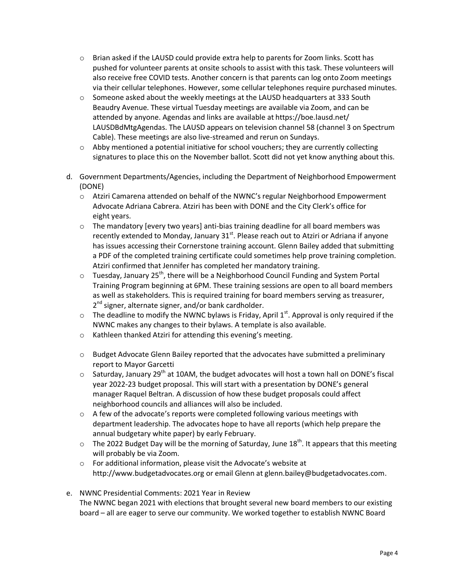- $\circ$  Brian asked if the LAUSD could provide extra help to parents for Zoom links. Scott has pushed for volunteer parents at onsite schools to assist with this task. These volunteers will also receive free COVID tests. Another concern is that parents can log onto Zoom meetings via their cellular telephones. However, some cellular telephones require purchased minutes.
- $\circ$  Someone asked about the weekly meetings at the LAUSD headquarters at 333 South Beaudry Avenue. These virtual Tuesday meetings are available via Zoom, and can be attended by anyone. Agendas and links are available a[t https://boe.lausd.net/](https://boe.lausd.net/%20LAUSDBdMtgAgendas)  [LAUSDBdMtgAgendas.](https://boe.lausd.net/%20LAUSDBdMtgAgendas) The LAUSD appears on television channel 58 (channel 3 on Spectrum Cable). These meetings are also live-streamed and rerun on Sundays.
- $\circ$  Abby mentioned a potential initiative for school vouchers; they are currently collecting signatures to place this on the November ballot. Scott did not yet know anything about this.
- d. Government Departments/Agencies, including the Department of Neighborhood Empowerment (DONE)
	- o Atziri Camarena attended on behalf of the NWNC's regular Neighborhood Empowerment Advocate Adriana Cabrera. Atziri has been with DONE and the City Clerk's office for eight years.
	- $\circ$  The mandatory [every two years] anti-bias training deadline for all board members was recently extended to Monday, January  $31^{st}$ . Please reach out to Atziri or Adriana if anyone has issues accessing their Cornerstone training account. Glenn Bailey added that submitting a PDF of the completed training certificate could sometimes help prove training completion. Atziri confirmed that Jennifer has completed her mandatory training.
	- $\circ$  Tuesday, January 25<sup>th</sup>, there will be a Neighborhood Council Funding and System Portal Training Program beginning at 6PM. These training sessions are open to all board members as well as stakeholders. This is required training for board members serving as treasurer, 2<sup>nd</sup> signer, alternate signer, and/or bank cardholder.
	- $\circ$  The deadline to modify the NWNC bylaws is Friday, April 1st. Approval is only required if the NWNC makes any changes to their bylaws. A template is also available.
	- o Kathleen thanked Atziri for attending this evening's meeting.
	- o Budget Advocate Glenn Bailey reported that the advocates have submitted a preliminary report to Mayor Garcetti
	- $\circ$  Saturday, January 29<sup>th</sup> at 10AM, the budget advocates will host a town hall on DONE's fiscal year 2022-23 budget proposal. This will start with a presentation by DONE's general manager Raquel Beltran. A discussion of how these budget proposals could affect neighborhood councils and alliances will also be included.
	- $\circ$  A few of the advocate's reports were completed following various meetings with department leadership. The advocates hope to have all reports (which help prepare the annual budgetary white paper) by early February.
	- $\circ$  The 2022 Budget Day will be the morning of Saturday, June 18<sup>th</sup>. It appears that this meeting will probably be via Zoom.
	- o For additional information, please visit the Advocate's website at [http://www.budgetadvocates.org](http://www.budgetadvocates.org/) or email Glenn a[t glenn.bailey@budgetadvocates.com.](mailto:glenn.bailey@budgetadvocates.com)
- e. NWNC Presidential Comments: 2021 Year in Review The NWNC began 2021 with elections that brought several new board members to our existing board – all are eager to serve our community. We worked together to establish NWNC Board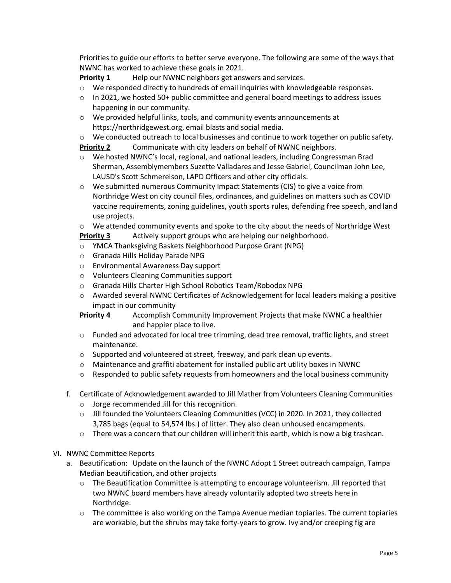Priorities to guide our efforts to better serve everyone. The following are some of the ways that NWNC has worked to achieve these goals in 2021.

**Priority 1** Help our NWNC neighbors get answers and services.

- o We responded directly to hundreds of email inquiries with knowledgeable responses.
- $\circ$  In 2021, we hosted 50+ public committee and general board meetings to address issues happening in our community.
- o We provided helpful links, tools, and community events announcements at https://northridgewest.org, email blasts and social media.
- $\circ$  We conducted outreach to local businesses and continue to work together on public safety. **Priority 2** Communicate with city leaders on behalf of NWNC neighbors.
- o We hosted NWNC's local, regional, and national leaders, including Congressman Brad Sherman, Assemblymembers Suzette Valladares and Jesse Gabriel, Councilman John Lee, LAUSD's Scott Schmerelson, LAPD Officers and other city officials.
- $\circ$  We submitted numerous Community Impact Statements (CIS) to give a voice from Northridge West on city council files, ordinances, and guidelines on matters such as COVID vaccine requirements, zoning guidelines, youth sports rules, defending free speech, and land use projects.
- $\circ$  We attended community events and spoke to the city about the needs of Northridge West **Priority 3** Actively support groups who are helping our neighborhood.
- o YMCA Thanksgiving Baskets Neighborhood Purpose Grant (NPG)
- o Granada Hills Holiday Parade NPG
- o Environmental Awareness Day support
- o Volunteers Cleaning Communities support
- o Granada Hills Charter High School Robotics Team/Robodox NPG
- o Awarded several NWNC Certificates of Acknowledgement for local leaders making a positive impact in our community

**Priority 4** Accomplish Community Improvement Projects that make NWNC a healthier and happier place to live.

- $\circ$  Funded and advocated for local tree trimming, dead tree removal, traffic lights, and street maintenance.
- o Supported and volunteered at street, freeway, and park clean up [events.](https://northridgewest.org/2021/07/neighborhood-councils-work-together-to-clean-up-our-community/)
- $\circ$  Maintenance and graffiti abatement for installed public art utility boxes in NWNC
- $\circ$  Responded to public safety requests from homeowners and the local business community
- f. Certificate of Acknowledgement awarded to Jill Mather from Volunteers Cleaning Communities
	- o Jorge recommended Jill for this recognition.
	- o Jill founded the Volunteers Cleaning Communities (VCC) in 2020. In 2021, they collected 3,785 bags (equal to 54,574 lbs.) of litter. They also clean unhoused encampments.
	- $\circ$  There was a concern that our children will inherit this earth, which is now a big trashcan.
- VI. NWNC Committee Reports
	- a. Beautification: Update on the launch of the NWNC Adopt 1 Street outreach campaign, Tampa Median beautification, and other projects
		- $\circ$  The Beautification Committee is attempting to encourage volunteerism. Jill reported that two NWNC board members have already voluntarily adopted two streets here in Northridge.
		- $\circ$  The committee is also working on the Tampa Avenue median topiaries. The current topiaries are workable, but the shrubs may take forty-years to grow. Ivy and/or creeping fig are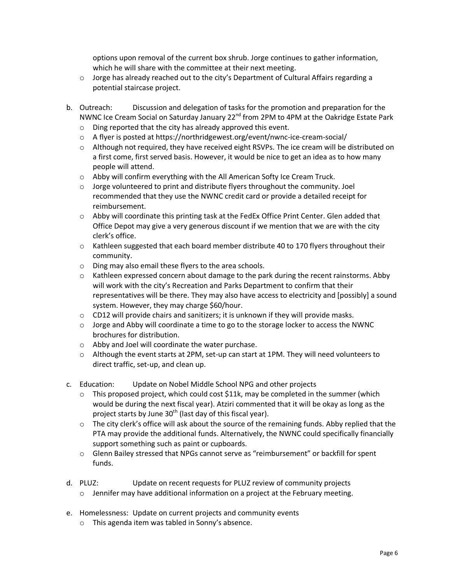options upon removal of the current box shrub. Jorge continues to gather information, which he will share with the committee at their next meeting.

- $\circ$  Jorge has already reached out to the city's Department of Cultural Affairs regarding a potential staircase project.
- b. Outreach: Discussion and delegation of tasks for the promotion and preparation for the NWNC Ice Cream Social on Saturday January 22<sup>nd</sup> from 2PM to 4PM at the Oakridge Estate Park
	- o Ding reported that the city has already approved this event.
	- o A flyer is posted a[t https://northridgewest.org/event/nwnc-ice-cream-social/](https://northridgewest.org/event/nwnc-ice-cream-social/)
	- $\circ$  Although not required, they have received eight RSVPs. The ice cream will be distributed on a first come, first served basis. However, it would be nice to get an idea as to how many people will attend.
	- o Abby will confirm everything with the All American Softy Ice Cream Truck.
	- $\circ$  Jorge volunteered to print and distribute flyers throughout the community. Joel recommended that they use the NWNC credit card or provide a detailed receipt for reimbursement.
	- o Abby will coordinate this printing task at the FedEx Office Print Center. Glen added that Office Depot may give a very generous discount if we mention that we are with the city clerk's office.
	- $\circ$  Kathleen suggested that each board member distribute 40 to 170 flyers throughout their community.
	- o Ding may also email these flyers to the area schools.
	- $\circ$  Kathleen expressed concern about damage to the park during the recent rainstorms. Abby will work with the city's Recreation and Parks Department to confirm that their representatives will be there. They may also have access to electricity and [possibly] a sound system. However, they may charge \$60/hour.
	- o CD12 will provide chairs and sanitizers; it is unknown if they will provide masks.
	- $\circ$  Jorge and Abby will coordinate a time to go to the storage locker to access the NWNC brochures for distribution.
	- o Abby and Joel will coordinate the water purchase.
	- o Although the event starts at 2PM, set-up can start at 1PM. They will need volunteers to direct traffic, set-up, and clean up.
- c. Education: Update on Nobel Middle School NPG and other projects
	- $\circ$  This proposed project, which could cost \$11k, may be completed in the summer (which would be during the next fiscal year). Atziri commented that it will be okay as long as the project starts by June  $30<sup>th</sup>$  (last day of this fiscal year).
	- $\circ$  The city clerk's office will ask about the source of the remaining funds. Abby replied that the PTA may provide the additional funds. Alternatively, the NWNC could specifically financially support something such as paint or cupboards.
	- o Glenn Bailey stressed that NPGs cannot serve as "reimbursement" or backfill for spent funds.
- d. PLUZ: Update on recent requests for PLUZ review of community projects
	- o Jennifer may have additional information on a project at the February meeting.
- e. Homelessness: Update on current projects and community events
	- o This agenda item was tabled in Sonny's absence.